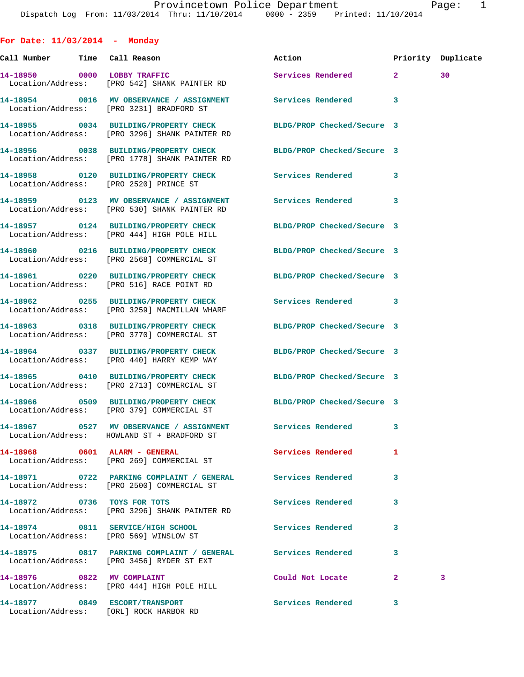| For Date: $11/03/2014$ - Monday |                                                                                                                   |                            |              |                    |
|---------------------------------|-------------------------------------------------------------------------------------------------------------------|----------------------------|--------------|--------------------|
|                                 |                                                                                                                   | Action                     |              | Priority Duplicate |
|                                 | 14-18950 0000 LOBBY TRAFFIC<br>Location/Address: [PRO 542] SHANK PAINTER RD                                       | Services Rendered 2        |              | 30                 |
|                                 | 14-18954 0016 MV OBSERVANCE / ASSIGNMENT Services Rendered<br>Location/Address: [PRO 3231] BRADFORD ST            |                            | 3            |                    |
|                                 | 14-18955 0034 BUILDING/PROPERTY CHECK<br>Location/Address: [PRO 3296] SHANK PAINTER RD                            | BLDG/PROP Checked/Secure 3 |              |                    |
|                                 | 14-18956 0038 BUILDING/PROPERTY CHECK BLDG/PROP Checked/Secure 3<br>Location/Address: [PRO 1778] SHANK PAINTER RD |                            |              |                    |
|                                 | 14-18958 0120 BUILDING/PROPERTY CHECK Services Rendered<br>Location/Address: [PRO 2520] PRINCE ST                 |                            | 3            |                    |
|                                 | 14-18959 0123 MV OBSERVANCE / ASSIGNMENT Services Rendered<br>Location/Address: [PRO 530] SHANK PAINTER RD        |                            | 3            |                    |
|                                 | 14-18957 0124 BUILDING/PROPERTY CHECK<br>Location/Address: [PRO 444] HIGH POLE HILL                               | BLDG/PROP Checked/Secure 3 |              |                    |
|                                 | 14-18960 0216 BUILDING/PROPERTY CHECK<br>Location/Address: [PRO 2568] COMMERCIAL ST                               | BLDG/PROP Checked/Secure 3 |              |                    |
|                                 | 14-18961 0220 BUILDING/PROPERTY CHECK<br>Location/Address: [PRO 516] RACE POINT RD                                | BLDG/PROP Checked/Secure 3 |              |                    |
|                                 | 14-18962 0255 BUILDING/PROPERTY CHECK<br>Location/Address: [PRO 3259] MACMILLAN WHARF                             | Services Rendered          | 3            |                    |
|                                 | 14-18963 0318 BUILDING/PROPERTY CHECK<br>Location/Address: [PRO 3770] COMMERCIAL ST                               | BLDG/PROP Checked/Secure 3 |              |                    |
|                                 | 14-18964 0337 BUILDING/PROPERTY CHECK<br>Location/Address: [PRO 440] HARRY KEMP WAY                               | BLDG/PROP Checked/Secure 3 |              |                    |
|                                 | 14-18965 0410 BUILDING/PROPERTY CHECK<br>Location/Address: [PRO 2713] COMMERCIAL ST                               | BLDG/PROP Checked/Secure 3 |              |                    |
|                                 | 14-18966 0509 BUILDING/PROPERTY CHECK<br>Location/Address: [PRO 379] COMMERCIAL ST                                | BLDG/PROP Checked/Secure 3 |              |                    |
|                                 | 14-18967 0527 MV OBSERVANCE / ASSIGNMENT<br>Location/Address: HOWLAND ST + BRADFORD ST                            | <b>Services Rendered</b>   | 3            |                    |
|                                 | 14-18968 0601 ALARM - GENERAL<br>Location/Address: [PRO 269] COMMERCIAL ST                                        | Services Rendered          | 1            |                    |
|                                 | 14-18971 0722 PARKING COMPLAINT / GENERAL<br>Location/Address: [PRO 2500] COMMERCIAL ST                           | Services Rendered          | 3            |                    |
|                                 | 14-18972 0736 TOYS FOR TOTS<br>Location/Address: [PRO 3296] SHANK PAINTER RD                                      | Services Rendered          | 3            |                    |
|                                 | 14-18974 0811 SERVICE/HIGH SCHOOL<br>Location/Address: [PRO 569] WINSLOW ST                                       | <b>Services Rendered</b>   | 3            |                    |
|                                 | 14-18975 0817 PARKING COMPLAINT / GENERAL Services Rendered<br>Location/Address: [PRO 3456] RYDER ST EXT          |                            | 3            |                    |
|                                 | 14-18976 0822 MV COMPLAINT<br>Location/Address: [PRO 444] HIGH POLE HILL                                          | Could Not Locate           | $\mathbf{2}$ | 3                  |
|                                 | 14-18977 0849 ESCORT/TRANSPORT<br>Location/Address: [ORL] ROCK HARBOR RD                                          | Services Rendered          | 3            |                    |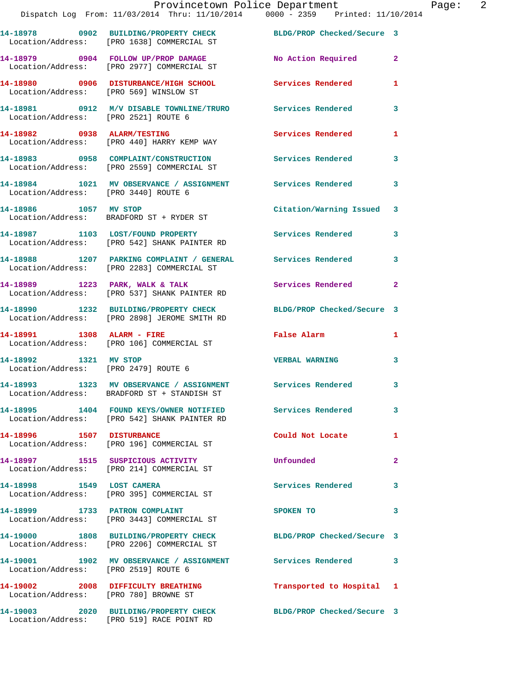|                                                               | Provincetown Police Department<br>Dispatch Log From: 11/03/2014 Thru: 11/10/2014 0000 - 2359 Printed: 11/10/2014 |                            |                |
|---------------------------------------------------------------|------------------------------------------------------------------------------------------------------------------|----------------------------|----------------|
|                                                               | 14-18978 0902 BUILDING/PROPERTY CHECK BLDG/PROP Checked/Secure 3<br>Location/Address: [PRO 1638] COMMERCIAL ST   |                            |                |
|                                                               | 14-18979 0904 FOLLOW UP/PROP DAMAGE<br>Location/Address: [PRO 2977] COMMERCIAL ST                                | No Action Required         | $\mathbf{2}$   |
| Location/Address: [PRO 569] WINSLOW ST                        | 14-18980 0906 DISTURBANCE/HIGH SCHOOL Services Rendered                                                          |                            | 1              |
| Location/Address: [PRO 2521] ROUTE 6                          | 14-18981 0912 M/V DISABLE TOWNLINE/TRURO Services Rendered                                                       |                            | 3              |
|                                                               | 14-18982 0938 ALARM/TESTING<br>Location/Address: [PRO 440] HARRY KEMP WAY                                        | <b>Services Rendered</b>   | 1              |
|                                                               | 14-18983 0958 COMPLAINT/CONSTRUCTION Services Rendered<br>Location/Address: [PRO 2559] COMMERCIAL ST             |                            | 3              |
|                                                               | 14-18984 1021 MV OBSERVANCE / ASSIGNMENT Services Rendered<br>Location/Address: [PRO 3440] ROUTE 6               |                            | 3              |
| 14-18986 1057 MV STOP                                         | Location/Address: BRADFORD ST + RYDER ST                                                                         | Citation/Warning Issued    | 3              |
|                                                               | 14-18987 1103 LOST/FOUND PROPERTY<br>Location/Address: [PRO 542] SHANK PAINTER RD                                | Services Rendered          | 3              |
|                                                               | 14-18988 1207 PARKING COMPLAINT / GENERAL Services Rendered<br>Location/Address: [PRO 2283] COMMERCIAL ST        |                            | 3              |
|                                                               | 14-18989 1223 PARK, WALK & TALK<br>Location/Address: [PRO 537] SHANK PAINTER RD                                  | <b>Services Rendered</b>   | $\overline{2}$ |
|                                                               | 14-18990 1232 BUILDING/PROPERTY CHECK<br>Location/Address: [PRO 2898] JEROME SMITH RD                            | BLDG/PROP Checked/Secure 3 |                |
|                                                               | 14-18991 1308 ALARM - FIRE<br>Location/Address: [PRO 106] COMMERCIAL ST                                          | <b>False Alarm</b>         | 1              |
| 14-18992 1321 MV STOP<br>Location/Address: [PRO 2479] ROUTE 6 |                                                                                                                  | <b>VERBAL WARNING</b>      | 3              |
|                                                               | 14-18993 1323 MV OBSERVANCE / ASSIGNMENT<br>Location/Address: BRADFORD ST + STANDISH ST                          | <b>Services Rendered</b>   | 3              |
|                                                               | 14-18995 1404 FOUND KEYS/OWNER NOTIFIED Services Rendered<br>Location/Address: [PRO 542] SHANK PAINTER RD        |                            | 3              |
| 14-18996 1507 DISTURBANCE                                     | Location/Address: [PRO 196] COMMERCIAL ST                                                                        | Could Not Locate           | 1              |
|                                                               | 14-18997 1515 SUSPICIOUS ACTIVITY<br>Location/Address: [PRO 214] COMMERCIAL ST                                   | Unfounded                  | 2              |
| 14-18998 1549 LOST CAMERA                                     | Location/Address: [PRO 395] COMMERCIAL ST                                                                        | Services Rendered          | 3              |
|                                                               | 14-18999 1733 PATRON COMPLAINT<br>Location/Address: [PRO 3443] COMMERCIAL ST                                     | SPOKEN TO                  | 3              |
|                                                               | 14-19000 1808 BUILDING/PROPERTY CHECK<br>Location/Address: [PRO 2206] COMMERCIAL ST                              | BLDG/PROP Checked/Secure 3 |                |
| Location/Address: [PRO 2519] ROUTE 6                          | 14-19001 1902 MV OBSERVANCE / ASSIGNMENT Services Rendered                                                       |                            | 3              |

**14-19002 2008 DIFFICULTY BREATHING Transported to Hospital 1** 

Location/Address: [PRO 780] BROWNE ST

**14-19003 2020 BUILDING/PROPERTY CHECK BLDG/PROP Checked/Secure 3**  Location/Address: [PRO 519] RACE POINT RD

Page: 2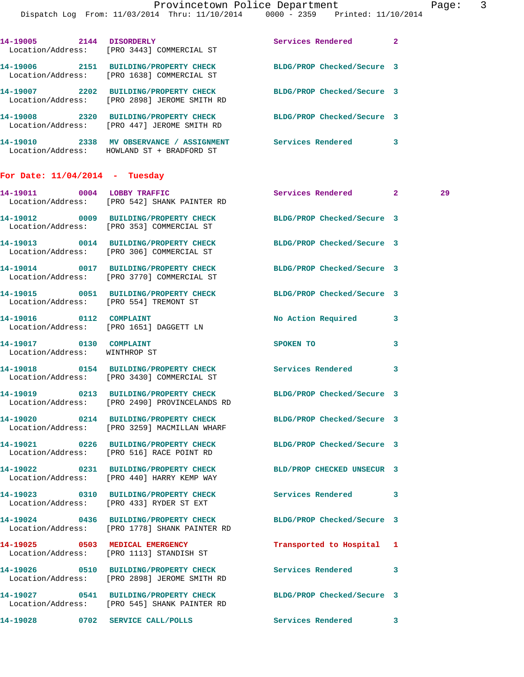|                                                          | Dispatch Log From: 11/03/2014 Thru: 11/10/2014 0000 - 2359 Printed: 11/10/2014                                    | Provincetown Police Department Page: 3 |   |    |  |
|----------------------------------------------------------|-------------------------------------------------------------------------------------------------------------------|----------------------------------------|---|----|--|
|                                                          | 14-19005 2144 DISORDERLY<br>Location/Address: [PRO 3443] COMMERCIAL ST                                            | Services Rendered 2                    |   |    |  |
|                                                          | 14-19006 2151 BUILDING/PROPERTY CHECK BLDG/PROP Checked/Secure 3<br>Location/Address: [PRO 1638] COMMERCIAL ST    |                                        |   |    |  |
|                                                          | 14-19007 2202 BUILDING/PROPERTY CHECK BLDG/PROP Checked/Secure 3<br>Location/Address: [PRO 2898] JEROME SMITH RD  |                                        |   |    |  |
|                                                          | 14-19008 2320 BUILDING/PROPERTY CHECK BLDG/PROP Checked/Secure 3<br>Location/Address: [PRO 447] JEROME SMITH RD   |                                        |   |    |  |
|                                                          | 14-19010 2338 MV OBSERVANCE / ASSIGNMENT Services Rendered 3<br>Location/Address: HOWLAND ST + BRADFORD ST        |                                        |   |    |  |
| For Date: $11/04/2014$ - Tuesday                         |                                                                                                                   |                                        |   |    |  |
|                                                          | 14-19011 0004 LOBBY TRAFFIC<br>Location/Address: [PRO 542] SHANK PAINTER RD                                       | Services Rendered 2                    |   | 29 |  |
|                                                          | 14-19012 0009 BUILDING/PROPERTY CHECK BLDG/PROP Checked/Secure 3<br>Location/Address: [PRO 353] COMMERCIAL ST     |                                        |   |    |  |
|                                                          | 14-19013 0014 BUILDING/PROPERTY CHECK BLDG/PROP Checked/Secure 3<br>Location/Address: [PRO 306] COMMERCIAL ST     |                                        |   |    |  |
|                                                          | 14-19014 0017 BUILDING/PROPERTY CHECK BLDG/PROP Checked/Secure 3<br>Location/Address: [PRO 3770] COMMERCIAL ST    |                                        |   |    |  |
|                                                          | 14-19015 0051 BUILDING/PROPERTY CHECK BLDG/PROP Checked/Secure 3<br>Location/Address: [PRO 554] TREMONT ST        |                                        |   |    |  |
|                                                          | 14-19016 0112 COMPLAINT<br>Location/Address: [PRO 1651] DAGGETT LN                                                | No Action Required 3                   |   |    |  |
| 14-19017 0130 COMPLAINT<br>Location/Address: WINTHROP ST |                                                                                                                   | SPOKEN TO                              | 3 |    |  |
|                                                          | 14-19018 0154 BUILDING/PROPERTY CHECK Services Rendered<br>Location/Address: [PRO 3430] COMMERCIAL ST             |                                        | 3 |    |  |
|                                                          | 14-19019 0213 BUILDING/PROPERTY CHECK BLDG/PROP Checked/Secure 3<br>Location/Address: [PRO 2490] PROVINCELANDS RD |                                        |   |    |  |
|                                                          | 14-19020 0214 BUILDING/PROPERTY CHECK BLDG/PROP Checked/Secure 3<br>Location/Address: [PRO 3259] MACMILLAN WHARF  |                                        |   |    |  |
|                                                          | 14-19021 0226 BUILDING/PROPERTY CHECK BLDG/PROP Checked/Secure 3<br>Location/Address: [PRO 516] RACE POINT RD     |                                        |   |    |  |
|                                                          | 14-19022 0231 BUILDING/PROPERTY CHECK<br>Location/Address: [PRO 440] HARRY KEMP WAY                               | BLD/PROP CHECKED UNSECUR 3             |   |    |  |
|                                                          | 14-19023 0310 BUILDING/PROPERTY CHECK Services Rendered 3<br>Location/Address: [PRO 433] RYDER ST EXT             |                                        |   |    |  |
|                                                          | 14-19024 0436 BUILDING/PROPERTY CHECK<br>Location/Address: [PRO 1778] SHANK PAINTER RD                            | BLDG/PROP Checked/Secure 3             |   |    |  |
|                                                          | 14-19025 0503 MEDICAL EMERGENCY<br>Location/Address: [PRO 1113] STANDISH ST                                       | Transported to Hospital 1              |   |    |  |
|                                                          | 14-19026 0510 BUILDING/PROPERTY CHECK Services Rendered<br>Location/Address: [PRO 2898] JEROME SMITH RD           |                                        | 3 |    |  |
|                                                          | 14-19027 0541 BUILDING/PROPERTY CHECK<br>Location/Address: [PRO 545] SHANK PAINTER RD                             | BLDG/PROP Checked/Secure 3             |   |    |  |

**14-19028 0702 SERVICE CALL/POLLS Services Rendered 3**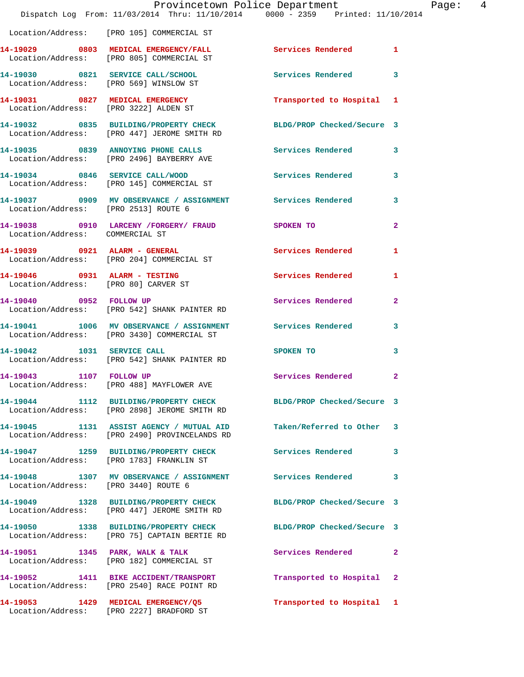|                                       | Provincetown Police Department<br>Dispatch Log From: 11/03/2014 Thru: 11/10/2014 0000 - 2359 Printed: 11/10/2014    |                            |                |
|---------------------------------------|---------------------------------------------------------------------------------------------------------------------|----------------------------|----------------|
|                                       | Location/Address: [PRO 105] COMMERCIAL ST                                                                           |                            |                |
|                                       | 14-19029 0803 MEDICAL EMERGENCY/FALL Services Rendered<br>Location/Address: [PRO 805] COMMERCIAL ST                 |                            | 1              |
|                                       | 14-19030 0821 SERVICE CALL/SCHOOL<br>Location/Address: [PRO 569] WINSLOW ST                                         | Services Rendered          | 3              |
| 14-19031 0827 MEDICAL EMERGENCY       |                                                                                                                     | Transported to Hospital 1  |                |
| Location/Address: [PRO 3222] ALDEN ST |                                                                                                                     |                            |                |
|                                       | 14-19032 0835 BUILDING/PROPERTY CHECK<br>Location/Address: [PRO 447] JEROME SMITH RD                                | BLDG/PROP Checked/Secure 3 |                |
|                                       | 14-19035 0839 ANNOYING PHONE CALLS<br>Location/Address: [PRO 2496] BAYBERRY AVE                                     | Services Rendered          | 3              |
|                                       | 14-19034 0846 SERVICE CALL/WOOD<br>Location/Address: [PRO 145] COMMERCIAL ST                                        | Services Rendered          | 3              |
| Location/Address: [PRO 2513] ROUTE 6  | 14-19037 0909 MV OBSERVANCE / ASSIGNMENT Services Rendered                                                          |                            | 3              |
| Location/Address: COMMERCIAL ST       | 14-19038 0910 LARCENY /FORGERY / FRAUD SPOKEN TO                                                                    |                            | $\overline{a}$ |
|                                       | 14-19039 0921 ALARM - GENERAL<br>Location/Address: [PRO 204] COMMERCIAL ST                                          | Services Rendered          | 1              |
| 14-19046 0931 ALARM - TESTING         |                                                                                                                     | Services Rendered          | 1              |
| Location/Address: [PRO 80] CARVER ST  | 14-19040 0952 FOLLOW UP<br>Location/Address: [PRO 542] SHANK PAINTER RD                                             | Services Rendered          | $\mathbf{2}$   |
|                                       | 14-19041 1006 MV OBSERVANCE / ASSIGNMENT Services Rendered                                                          |                            | 3              |
|                                       | Location/Address: [PRO 3430] COMMERCIAL ST<br>14-19042 1031 SERVICE CALL                                            | SPOKEN TO                  | 3              |
|                                       | Location/Address: [PRO 542] SHANK PAINTER RD                                                                        |                            |                |
| 14-19043 1107 FOLLOW UP               | Location/Address: [PRO 488] MAYFLOWER AVE                                                                           | <b>Services Rendered</b>   |                |
|                                       | 14-19044 1112 BUILDING/PROPERTY CHECK BLDG/PROP Checked/Secure 3<br>Location/Address: [PRO 2898] JEROME SMITH RD    |                            |                |
|                                       | 14-19045 1131 ASSIST AGENCY / MUTUAL AID Taken/Referred to Other 3<br>Location/Address: [PRO 2490] PROVINCELANDS RD |                            |                |
|                                       | 14-19047 1259 BUILDING/PROPERTY CHECK<br>Location/Address: [PRO 1783] FRANKLIN ST                                   | Services Rendered          | 3              |
| Location/Address: [PRO 3440] ROUTE 6  | 14-19048 1307 MV OBSERVANCE / ASSIGNMENT Services Rendered                                                          |                            | 3              |
|                                       | 14-19049 1328 BUILDING/PROPERTY CHECK<br>Location/Address: [PRO 447] JEROME SMITH RD                                | BLDG/PROP Checked/Secure 3 |                |
|                                       | 14-19050 1338 BUILDING/PROPERTY CHECK BLDG/PROP Checked/Secure 3<br>Location/Address: [PRO 75] CAPTAIN BERTIE RD    |                            |                |
|                                       | 14-19051 1345 PARK, WALK & TALK<br>Location/Address: [PRO 182] COMMERCIAL ST                                        | Services Rendered          | $\mathbf{2}$   |
|                                       | 14-19052 1411 BIKE ACCIDENT/TRANSPORT<br>Location/Address: [PRO 2540] RACE POINT RD                                 | Transported to Hospital 2  |                |
|                                       |                                                                                                                     | Transported to Hospital 1  |                |

Location/Address: [PRO 2227] BRADFORD ST

Page: 4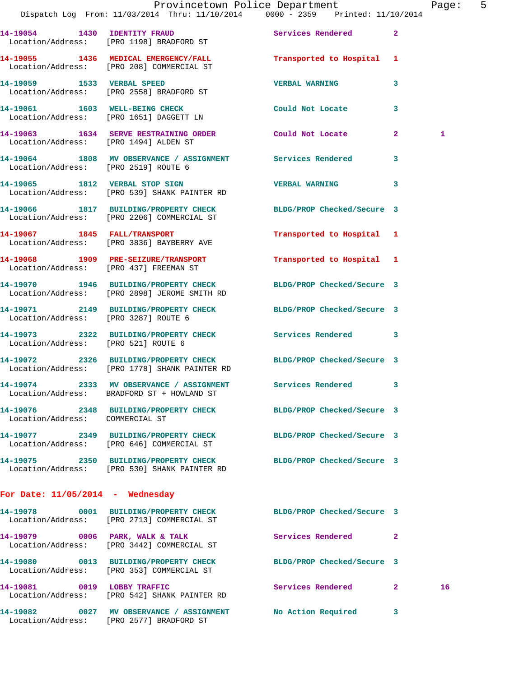|                                       | Dispatch Log From: 11/03/2014 Thru: 11/10/2014 0000 - 2359 Printed: 11/10/2014                                    | Provincetown Police Department |              | Page: 5      |  |
|---------------------------------------|-------------------------------------------------------------------------------------------------------------------|--------------------------------|--------------|--------------|--|
|                                       | 14-19054 1430 IDENTITY FRAUD<br>Location/Address: [PRO 1198] BRADFORD ST                                          | Services Rendered 2            |              |              |  |
|                                       | 14-19055 1436 MEDICAL EMERGENCY/FALL Transported to Hospital 1<br>Location/Address: [PRO 208] COMMERCIAL ST       |                                |              |              |  |
|                                       | 14-19059 1533 VERBAL SPEED<br>Location/Address: [PRO 2558] BRADFORD ST                                            | <b>VERBAL WARNING</b>          | 3            |              |  |
|                                       | 14-19061 1603 WELL-BEING CHECK<br>Location/Address: [PRO 1651] DAGGETT LN                                         | Could Not Locate               | $\mathbf{3}$ |              |  |
| Location/Address: [PRO 1494] ALDEN ST | 14-19063 1634 SERVE RESTRAINING ORDER Could Not Locate 2                                                          |                                |              | $\mathbf{1}$ |  |
| Location/Address: [PRO 2519] ROUTE 6  | 14-19064 1808 MV OBSERVANCE / ASSIGNMENT Services Rendered 3                                                      |                                |              |              |  |
|                                       | 14-19065 1812 VERBAL STOP SIGN<br>Location/Address: [PRO 539] SHANK PAINTER RD                                    | VERBAL WARNING 3               |              |              |  |
|                                       | 14-19066 1817 BUILDING/PROPERTY CHECK BLDG/PROP Checked/Secure 3<br>Location/Address: [PRO 2206] COMMERCIAL ST    |                                |              |              |  |
|                                       | 14-19067 1845 FALL/TRANSPORT<br>Location/Address: [PRO 3836] BAYBERRY AVE                                         | Transported to Hospital 1      |              |              |  |
|                                       | 14-19068 1909 PRE-SEIZURE/TRANSPORT<br>Location/Address: [PRO 437] FREEMAN ST                                     | Transported to Hospital 1      |              |              |  |
|                                       | 14-19070 1946 BUILDING/PROPERTY CHECK BLDG/PROP Checked/Secure 3<br>Location/Address: [PRO 2898] JEROME SMITH RD  |                                |              |              |  |
|                                       | 14-19071 2149 BUILDING/PROPERTY CHECK BLDG/PROP Checked/Secure 3<br>Location/Address: [PRO 3287] ROUTE 6          |                                |              |              |  |
|                                       | 14-19073 2322 BUILDING/PROPERTY CHECK Services Rendered 3<br>Location/Address: [PRO 521] ROUTE 6                  |                                |              |              |  |
|                                       | 14-19072 2326 BUILDING/PROPERTY CHECK BLDG/PROP Checked/Secure 3<br>Location/Address: [PRO 1778] SHANK PAINTER RD |                                |              |              |  |
|                                       | 14-19074 2333 MV OBSERVANCE / ASSIGNMENT Services Rendered 3<br>Location/Address: BRADFORD ST + HOWLAND ST        |                                |              |              |  |
| Location/Address: COMMERCIAL ST       | 14-19076 2348 BUILDING/PROPERTY CHECK BLDG/PROP Checked/Secure 3                                                  |                                |              |              |  |
|                                       | 14-19077 2349 BUILDING/PROPERTY CHECK BLDG/PROP Checked/Secure 3<br>Location/Address: [PRO 646] COMMERCIAL ST     |                                |              |              |  |
|                                       | 14-19075 2350 BUILDING/PROPERTY CHECK BLDG/PROP Checked/Secure 3<br>Location/Address: [PRO 530] SHANK PAINTER RD  |                                |              |              |  |
| For Date: $11/05/2014$ - Wednesday    |                                                                                                                   |                                |              |              |  |
|                                       | 14-19078 0001 BUILDING/PROPERTY CHECK BLDG/PROP Checked/Secure 3<br>Location/Address: [PRO 2713] COMMERCIAL ST    |                                |              |              |  |
|                                       | 14-19079 0006 PARK, WALK & TALK<br>Location/Address: [PRO 3442] COMMERCIAL ST                                     | Services Rendered 2            |              |              |  |
|                                       | 14-19080 0013 BUILDING/PROPERTY CHECK<br>Location/Address: [PRO 353] COMMERCIAL ST                                | BLDG/PROP Checked/Secure 3     |              |              |  |
| 14-19081 0019 LOBBY TRAFFIC           | Location/Address: [PRO 542] SHANK PAINTER RD                                                                      | Services Rendered 2            |              | 16           |  |
|                                       | 14-19082 0027 MV OBSERVANCE / ASSIGNMENT                                                                          | No Action Required 3           |              |              |  |

Location/Address: [PRO 2577] BRADFORD ST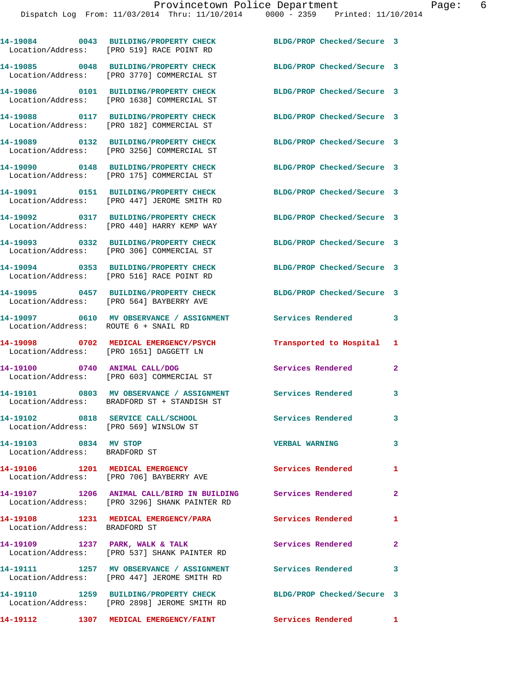|                                                                             | 14-19084 0043 BUILDING/PROPERTY CHECK<br>Location/Address: [PRO 519] RACE POINT RD                              | BLDG/PROP Checked/Secure 3           |                            |
|-----------------------------------------------------------------------------|-----------------------------------------------------------------------------------------------------------------|--------------------------------------|----------------------------|
|                                                                             | 14-19085 0048 BUILDING/PROPERTY CHECK<br>Location/Address: [PRO 3770] COMMERCIAL ST                             | BLDG/PROP Checked/Secure 3           |                            |
|                                                                             | 14-19086 0101 BUILDING/PROPERTY CHECK<br>Location/Address: [PRO 1638] COMMERCIAL ST                             | BLDG/PROP Checked/Secure 3           |                            |
|                                                                             | 14-19088 0117 BUILDING/PROPERTY CHECK<br>Location/Address: [PRO 182] COMMERCIAL ST                              | BLDG/PROP Checked/Secure 3           |                            |
|                                                                             | 14-19089 0132 BUILDING/PROPERTY CHECK<br>Location/Address: [PRO 3256] COMMERCIAL ST                             | BLDG/PROP Checked/Secure 3           |                            |
|                                                                             | 14-19090 0148 BUILDING/PROPERTY CHECK<br>Location/Address: [PRO 175] COMMERCIAL ST                              | BLDG/PROP Checked/Secure 3           |                            |
|                                                                             | 14-19091 0151 BUILDING/PROPERTY CHECK<br>Location/Address: [PRO 447] JEROME SMITH RD                            | BLDG/PROP Checked/Secure 3           |                            |
|                                                                             | 14-19092 0317 BUILDING/PROPERTY CHECK<br>Location/Address: [PRO 440] HARRY KEMP WAY                             | BLDG/PROP Checked/Secure 3           |                            |
|                                                                             | 14-19093 0332 BUILDING/PROPERTY CHECK<br>Location/Address: [PRO 306] COMMERCIAL ST                              | BLDG/PROP Checked/Secure 3           |                            |
|                                                                             | 14-19094 0353 BUILDING/PROPERTY CHECK<br>Location/Address: [PRO 516] RACE POINT RD                              | BLDG/PROP Checked/Secure 3           |                            |
|                                                                             | 14-19095 0457 BUILDING/PROPERTY CHECK<br>Location/Address: [PRO 564] BAYBERRY AVE                               | BLDG/PROP Checked/Secure 3           |                            |
| Location/Address: ROUTE 6 + SNAIL RD                                        | 14-19097 0610 MV OBSERVANCE / ASSIGNMENT Services Rendered                                                      |                                      | 3                          |
|                                                                             | 14-19098 0702 MEDICAL EMERGENCY/PSYCH<br>Location/Address: [PRO 1651] DAGGETT LN                                | Transported to Hospital              | 1                          |
|                                                                             | 14-19100 0740 ANIMAL CALL/DOG<br>Location/Address: [PRO 603] COMMERCIAL ST                                      | <b>Services Rendered</b>             | $\mathbf{2}$               |
|                                                                             | 14-19101 0803 MV OBSERVANCE / ASSIGNMENT<br>Location/Address: BRADFORD ST + STANDISH ST                         | <b>Services Rendered</b><br>$\sim$ 3 |                            |
| 14-19102 0818 SERVICE CALL/SCHOOL<br>Location/Address: [PRO 569] WINSLOW ST |                                                                                                                 | Services Rendered                    | 3                          |
| 14-19103 0834 MV STOP<br>Location/Address: BRADFORD ST                      |                                                                                                                 | <b>VERBAL WARNING</b>                | $\overline{\mathbf{3}}$    |
|                                                                             | 14-19106 1201 MEDICAL EMERGENCY<br>Location/Address: [PRO 706] BAYBERRY AVE                                     | <b>Services Rendered</b>             | 1                          |
|                                                                             | 14-19107 1206 ANIMAL CALL/BIRD IN BUILDING Services Rendered 2<br>Location/Address: [PRO 3296] SHANK PAINTER RD |                                      |                            |
| Location/Address: BRADFORD ST                                               | 14-19108 1231 MEDICAL EMERGENCY/PARA                                                                            | <b>Services Rendered</b>             | 1                          |
|                                                                             | 14-19109 1237 PARK, WALK & TALK<br>Location/Address: [PRO 537] SHANK PAINTER RD                                 | Services Rendered                    | $\overline{\phantom{0}}$ 2 |
|                                                                             | 14-19111 1257 MV OBSERVANCE / ASSIGNMENT<br>Location/Address: [PRO 447] JEROME SMITH RD                         | Services Rendered                    | $\overline{\phantom{a}}$ 3 |
|                                                                             | 14-19110 1259 BUILDING/PROPERTY CHECK<br>Location/Address: [PRO 2898] JEROME SMITH RD                           | BLDG/PROP Checked/Secure 3           |                            |
|                                                                             | 14-19112 1307 MEDICAL EMERGENCY/FAINT Services Rendered 1                                                       |                                      |                            |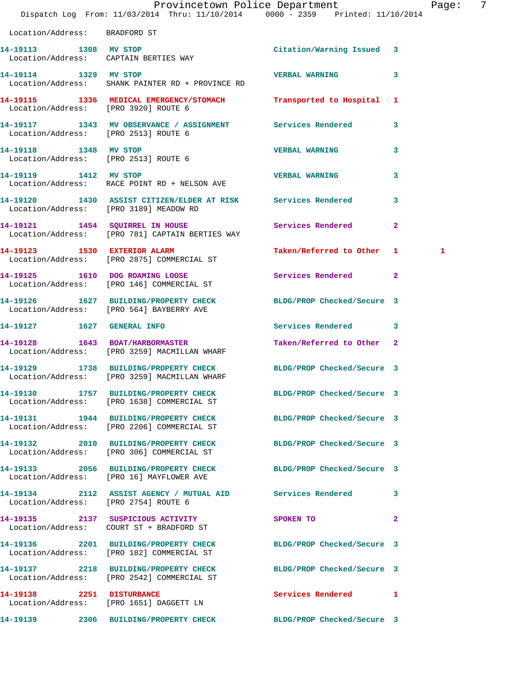|                                      | Dispatch Log From: 11/03/2014 Thru: 11/10/2014 0000 - 2359 Printed: 11/10/2014                                   | Provincetown Police Department |              | Page: 7 |  |
|--------------------------------------|------------------------------------------------------------------------------------------------------------------|--------------------------------|--------------|---------|--|
| Location/Address: BRADFORD ST        |                                                                                                                  |                                |              |         |  |
|                                      | 14-19113 1308 MV STOP<br>Location/Address: CAPTAIN BERTIES WAY                                                   | Citation/Warning Issued 3      |              |         |  |
|                                      | 14-19114 1329 MV STOP 14-19114<br>Location/Address: SHANK PAINTER RD + PROVINCE RD                               |                                | 3            |         |  |
| Location/Address: [PRO 3920] ROUTE 6 | 14-19115 1336 MEDICAL EMERGENCY/STOMACH Transported to Hospital 1                                                |                                |              |         |  |
| Location/Address: [PRO 2513] ROUTE 6 | 14-19117 1343 MV OBSERVANCE / ASSIGNMENT Services Rendered 3                                                     |                                |              |         |  |
| 14-19118 1348 MV STOP                | Location/Address: [PRO 2513] ROUTE 6                                                                             | <b>VERBAL WARNING</b>          | $\mathbf{3}$ |         |  |
|                                      | 14-19119 1412 MV STOP<br>Location/Address: RACE POINT RD + NELSON AVE                                            | <b>VERBAL WARNING</b>          | 3            |         |  |
|                                      | 14-19120 1430 ASSIST CITIZEN/ELDER AT RISK Services Rendered<br>Location/Address: [PRO 3189] MEADOW RD           |                                | 3            |         |  |
|                                      | 14-19121 1454 SQUIRREL IN HOUSE<br>Location/Address: [PRO 781] CAPTAIN BERTIES WAY                               | Services Rendered              | $\mathbf{2}$ |         |  |
|                                      | 14-19123 1530 EXTERIOR ALARM<br>Location/Address: [PRO 2875] COMMERCIAL ST                                       | Taken/Referred to Other 1      |              | 1       |  |
|                                      | 14-19125 1610 DOG ROAMING LOOSE<br>Location/Address: [PRO 146] COMMERCIAL ST                                     | Services Rendered              | $\mathbf{2}$ |         |  |
|                                      | 14-19126 1627 BUILDING/PROPERTY CHECK BLDG/PROP Checked/Secure 3<br>Location/Address: [PRO 564] BAYBERRY AVE     |                                |              |         |  |
|                                      |                                                                                                                  | Services Rendered 3            |              |         |  |
|                                      | 14-19128 1643 BOAT/HARBORMASTER<br>Location/Address: [PRO 3259] MACMILLAN WHARF                                  | Taken/Referred to Other 2      |              |         |  |
|                                      | 14-19129 1738 BUILDING/PROPERTY CHECK BLDG/PROP Checked/Secure 3<br>Location/Address: [PRO 3259] MACMILLAN WHARF |                                |              |         |  |
|                                      | 14-19130 1757 BUILDING/PROPERTY CHECK BLDG/PROP Checked/Secure 3<br>Location/Address: [PRO 1638] COMMERCIAL ST   |                                |              |         |  |
|                                      | 14-19131 1944 BUILDING/PROPERTY CHECK BLDG/PROP Checked/Secure 3<br>Location/Address: [PRO 2206] COMMERCIAL ST   |                                |              |         |  |
|                                      | 14-19132 2010 BUILDING/PROPERTY CHECK BLDG/PROP Checked/Secure 3<br>Location/Address: [PRO 306] COMMERCIAL ST    |                                |              |         |  |
|                                      | 14-19133 2056 BUILDING/PROPERTY CHECK BLDG/PROP Checked/Secure 3<br>Location/Address: [PRO 16] MAYFLOWER AVE     |                                |              |         |  |
| Location/Address: [PRO 2754] ROUTE 6 | 14-19134 2112 ASSIST AGENCY / MUTUAL AID Services Rendered 3                                                     |                                |              |         |  |
|                                      | 14-19135 2137 SUSPICIOUS ACTIVITY<br>Location/Address: COURT ST + BRADFORD ST                                    | SPOKEN TO                      | $\mathbf{2}$ |         |  |
|                                      | 14-19136 2201 BUILDING/PROPERTY CHECK BLDG/PROP Checked/Secure 3<br>Location/Address: [PRO 182] COMMERCIAL ST    |                                |              |         |  |
|                                      | 14-19137 2218 BUILDING/PROPERTY CHECK BLDG/PROP Checked/Secure 3<br>Location/Address: [PRO 2542] COMMERCIAL ST   |                                |              |         |  |
|                                      | 14-19138 2251 DISTURBANCE<br>Location/Address: [PRO 1651] DAGGETT LN                                             | Services Rendered 1            |              |         |  |
|                                      | 14-19139 2306 BUILDING/PROPERTY CHECK BLDG/PROP Checked/Secure 3                                                 |                                |              |         |  |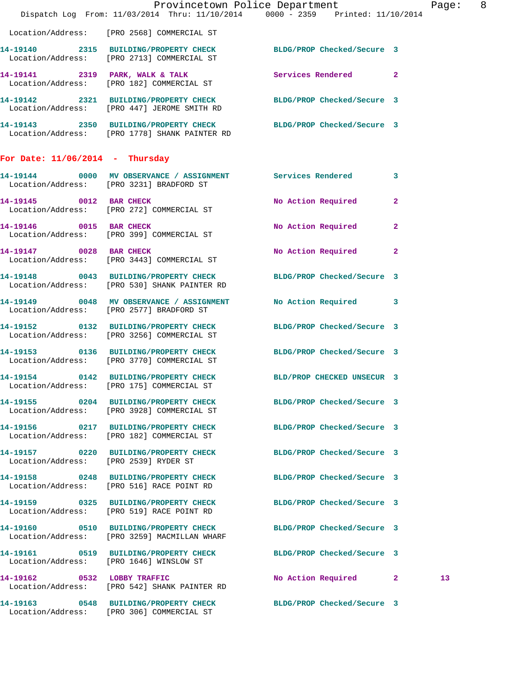|                                       | Dispatch Log From: 11/03/2014 Thru: 11/10/2014 0000 - 2359 Printed: 11/10/2014                                    | Provincetown Police Department |              | Page: | - 8 |
|---------------------------------------|-------------------------------------------------------------------------------------------------------------------|--------------------------------|--------------|-------|-----|
|                                       | Location/Address: [PRO 2568] COMMERCIAL ST                                                                        |                                |              |       |     |
|                                       | 14-19140 2315 BUILDING/PROPERTY CHECK BLDG/PROP Checked/Secure 3<br>Location/Address: [PRO 2713] COMMERCIAL ST    |                                |              |       |     |
|                                       | 14-19141 2319 PARK, WALK & TALK<br>Location/Address: [PRO 182] COMMERCIAL ST                                      | Services Rendered 2            |              |       |     |
|                                       | 14-19142 2321 BUILDING/PROPERTY CHECK BLDG/PROP Checked/Secure 3<br>Location/Address: [PRO 447] JEROME SMITH RD   |                                |              |       |     |
|                                       | 14-19143 2350 BUILDING/PROPERTY CHECK BLDG/PROP Checked/Secure 3<br>Location/Address: [PRO 1778] SHANK PAINTER RD |                                |              |       |     |
| For Date: $11/06/2014$ - Thursday     |                                                                                                                   |                                |              |       |     |
|                                       | 14-19144 0000 MV OBSERVANCE / ASSIGNMENT Services Rendered 3<br>Location/Address: [PRO 3231] BRADFORD ST          |                                |              |       |     |
| 14-19145 0012 BAR CHECK               | Location/Address: [PRO 272] COMMERCIAL ST                                                                         | No Action Required 2           |              |       |     |
|                                       | 14-19146 0015 BAR CHECK<br>Location/Address: [PRO 399] COMMERCIAL ST                                              | No Action Required             | $\mathbf{2}$ |       |     |
| 14-19147 0028 BAR CHECK               | Location/Address: [PRO 3443] COMMERCIAL ST                                                                        | No Action Required 2           |              |       |     |
|                                       | 14-19148 0043 BUILDING/PROPERTY CHECK BLDG/PROP Checked/Secure 3<br>Location/Address: [PRO 530] SHANK PAINTER RD  |                                |              |       |     |
|                                       | 14-19149 0048 MV OBSERVANCE / ASSIGNMENT<br>Location/Address: [PRO 2577] BRADFORD ST                              | No Action Required 3           |              |       |     |
|                                       | 14-19152 0132 BUILDING/PROPERTY CHECK<br>Location/Address: [PRO 3256] COMMERCIAL ST                               | BLDG/PROP Checked/Secure 3     |              |       |     |
|                                       | 14-19153 0136 BUILDING/PROPERTY CHECK<br>Location/Address: [PRO 3770] COMMERCIAL ST                               | BLDG/PROP Checked/Secure 3     |              |       |     |
| Location/Address:                     | 14-19154 0142 BUILDING/PROPERTY CHECK BLD/PROP CHECKED UNSECUR 3<br>[PRO 175] COMMERCIAL ST                       |                                |              |       |     |
|                                       | 14-19155 0204 BUILDING/PROPERTY CHECK BLDG/PROP Checked/Secure 3<br>Location/Address: [PRO 3928] COMMERCIAL ST    |                                |              |       |     |
|                                       | 14-19156 0217 BUILDING/PROPERTY CHECK<br>Location/Address: [PRO 182] COMMERCIAL ST                                | BLDG/PROP Checked/Secure 3     |              |       |     |
| Location/Address: [PRO 2539] RYDER ST | 14-19157 0220 BUILDING/PROPERTY CHECK BLDG/PROP Checked/Secure 3                                                  |                                |              |       |     |
|                                       | 14-19158 0248 BUILDING/PROPERTY CHECK<br>Location/Address: [PRO 516] RACE POINT RD                                | BLDG/PROP Checked/Secure 3     |              |       |     |
|                                       | 14-19159 0325 BUILDING/PROPERTY CHECK BLDG/PROP Checked/Secure 3<br>Location/Address: [PRO 519] RACE POINT RD     |                                |              |       |     |
|                                       | 14-19160 0510 BUILDING/PROPERTY CHECK<br>Location/Address: [PRO 3259] MACMILLAN WHARF                             | BLDG/PROP Checked/Secure 3     |              |       |     |
|                                       | 14-19161 0519 BUILDING/PROPERTY CHECK BLDG/PROP Checked/Secure 3<br>Location/Address: [PRO 1646] WINSLOW ST       |                                |              |       |     |
|                                       | 14-19162 0532 LOBBY TRAFFIC<br>Location/Address: [PRO 542] SHANK PAINTER RD                                       | No Action Required 2           |              | 13    |     |
|                                       | 14-19163 0548 BUILDING/PROPERTY CHECK<br>Location/Address: [PRO 306] COMMERCIAL ST                                | BLDG/PROP Checked/Secure 3     |              |       |     |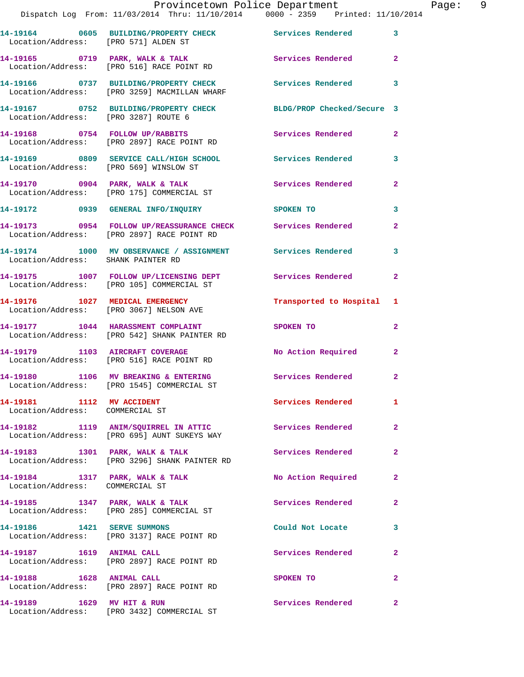|                                      | Provincetown Police Department                                                        |                            |                |
|--------------------------------------|---------------------------------------------------------------------------------------|----------------------------|----------------|
|                                      | Dispatch Log From: 11/03/2014 Thru: 11/10/2014 0000 - 2359 Printed: 11/10/2014        |                            |                |
| Location/Address: [PRO 571] ALDEN ST |                                                                                       |                            | 3              |
| 14-19165 0719 PARK, WALK & TALK      | Location/Address: [PRO 516] RACE POINT RD                                             | Services Rendered          | $\overline{2}$ |
|                                      | 14-19166 0737 BUILDING/PROPERTY CHECK<br>Location/Address: [PRO 3259] MACMILLAN WHARF | Services Rendered          | 3              |
| Location/Address: [PRO 3287] ROUTE 6 |                                                                                       | BLDG/PROP Checked/Secure 3 |                |
| 14-19168 0754 FOLLOW UP/RABBITS      | Location/Address: [PRO 2897] RACE POINT RD                                            | Services Rendered          | $\overline{2}$ |
|                                      |                                                                                       | Services Rendered          | 3              |

Location/Address: [PRO 569] WINSLOW ST

Location/Address: [PRO 175] COMMERCIAL ST

Location/Address: [PRO 3432] COMMERCIAL ST

**14-19172 0939 GENERAL INFO/INQUIRY SPOKEN TO 3 14-19173 0954 FOLLOW UP/REASSURANCE CHECK Services Rendered 2**  Location/Address: [PRO 2897] RACE POINT RD **14-19174 1000 MV OBSERVANCE / ASSIGNMENT Services Rendered 3**  Location/Address: SHANK PAINTER RD **14-19175 1007 FOLLOW UP/LICENSING DEPT Services Rendered 2**  Location/Address: [PRO 105] COMMERCIAL ST **14-19176 1027 MEDICAL EMERGENCY Transported to Hospital 1**  Location/Address: [PRO 3067] NELSON AVE **14-19177 1044 HARASSMENT COMPLAINT SPOKEN TO 2**  Location/Address: [PRO 542] SHANK PAINTER RD 14-19179 1103 AIRCRAFT COVERAGE No Action Required 2 Location/Address: [PRO 516] RACE POINT RD **14-19180 1106 MV BREAKING & ENTERING Services Rendered 2**  Location/Address: [PRO 1545] COMMERCIAL ST 14-19181 1112 MV ACCIDENT 1112 Services Rendered 1 Location/Address: COMMERCIAL ST

**14-19170 0904 PARK, WALK & TALK Services Rendered 2** 

**14-19182 1119 ANIM/SQUIRREL IN ATTIC Services Rendered 2**  Location/Address: [PRO 695] AUNT SUKEYS WAY 14-19183 1301 PARK, WALK & TALK 1998 Services Rendered 2 Location/Address: [PRO 3296] SHANK PAINTER RD **14-19184 1317 PARK, WALK & TALK No Action Required 2**  Location/Address: COMMERCIAL ST 14-19185 1347 PARK, WALK & TALK **Services Rendered** 2 Location/Address: [PRO 285] COMMERCIAL ST **14-19186 1421 SERVE SUMMONS Could Not Locate 3**  Location/Address: [PRO 3137] RACE POINT RD **14-19187 1619 ANIMAL CALL Services Rendered 2**  Location/Address: [PRO 2897] RACE POINT RD **14-19188 1628 ANIMAL CALL SPOKEN TO 2**  Location/Address: [PRO 2897] RACE POINT RD **14-19189 1629 MV HIT & RUN Services Rendered 2**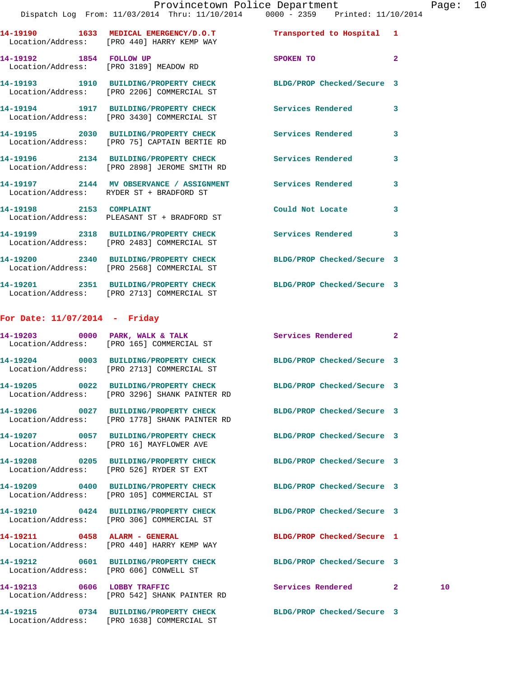## Provincetown Police Department Page: 10

|                                 | DISPACCH LOG FIOM. II/03/2014 THIN. II/10/2014 - 0000 - 2339 - PITHCGO. II/10/                                 |                            |                         |
|---------------------------------|----------------------------------------------------------------------------------------------------------------|----------------------------|-------------------------|
|                                 | 14-19190 1633 MEDICAL EMERGENCY/D.O.T<br>Location/Address: [PRO 440] HARRY KEMP WAY                            | Transported to Hospital 1  |                         |
| 14-19192 1854 FOLLOW UP         | Location/Address: [PRO 3189] MEADOW RD                                                                         | SPOKEN TO                  | $\overline{2}$          |
|                                 | 14-19193 1910 BUILDING/PROPERTY CHECK BLDG/PROP Checked/Secure 3<br>Location/Address: [PRO 2206] COMMERCIAL ST |                            |                         |
|                                 | 14-19194 1917 BUILDING/PROPERTY CHECK<br>Location/Address: [PRO 3430] COMMERCIAL ST                            | Services Rendered          | $\overline{\mathbf{3}}$ |
|                                 | 14-19195 2030 BUILDING/PROPERTY CHECK<br>Location/Address: [PRO 75] CAPTAIN BERTIE RD                          | <b>Services Rendered</b>   | $\overline{\mathbf{3}}$ |
|                                 | 14-19196 2134 BUILDING/PROPERTY CHECK Services Rendered<br>Location/Address: [PRO 2898] JEROME SMITH RD        |                            | $\mathbf{3}$            |
|                                 | 14-19197 2144 MV OBSERVANCE / ASSIGNMENT Services Rendered<br>Location/Address: RYDER ST + BRADFORD ST         |                            | $\overline{\mathbf{3}}$ |
| 14-19198 2153 COMPLAINT         | Location/Address: PLEASANT ST + BRADFORD ST                                                                    | Could Not Locate           | $\overline{3}$          |
|                                 | 14-19199 2318 BUILDING/PROPERTY CHECK Services Rendered 3<br>Location/Address: [PRO 2483] COMMERCIAL ST        |                            |                         |
|                                 | 14-19200 2340 BUILDING/PROPERTY CHECK<br>Location/Address: [PRO 2568] COMMERCIAL ST                            | BLDG/PROP Checked/Secure 3 |                         |
|                                 | 14-19201 2351 BUILDING/PROPERTY CHECK<br>Location/Address: [PRO 2713] COMMERCIAL ST                            | BLDG/PROP Checked/Secure 3 |                         |
| For Date: $11/07/2014$ - Friday |                                                                                                                |                            |                         |
|                                 | 14-19203 0000 PARK, WALK & TALK<br>Location/Address: [PRO 165] COMMERCIAL ST                                   | Services Rendered 2        |                         |

|                                        | 14-19204 0003 BUILDING/PROPERTY CHECK BLDG/PROP Checked/Secure 3<br>Location/Address: [PRO 2713] COMMERCIAL ST    |                            |              |    |
|----------------------------------------|-------------------------------------------------------------------------------------------------------------------|----------------------------|--------------|----|
|                                        | 14-19205 0022 BUILDING/PROPERTY CHECK BLDG/PROP Checked/Secure 3<br>Location/Address: [PRO 3296] SHANK PAINTER RD |                            |              |    |
|                                        | 14-19206 0027 BUILDING/PROPERTY CHECK BLDG/PROP Checked/Secure 3<br>Location/Address: [PRO 1778] SHANK PAINTER RD |                            |              |    |
|                                        | 14-19207 0057 BUILDING/PROPERTY CHECK BLDG/PROP Checked/Secure 3<br>Location/Address: [PRO 16] MAYFLOWER AVE      |                            |              |    |
|                                        | 14-19208 0205 BUILDING/PROPERTY CHECK BLDG/PROP Checked/Secure 3<br>Location/Address: [PRO 526] RYDER ST EXT      |                            |              |    |
|                                        | 14-19209 0400 BUILDING/PROPERTY CHECK BLDG/PROP Checked/Secure 3<br>Location/Address: [PRO 105] COMMERCIAL ST     |                            |              |    |
|                                        | 14-19210 0424 BUILDING/PROPERTY CHECK BLDG/PROP Checked/Secure 3<br>Location/Address: [PRO 306] COMMERCIAL ST     |                            |              |    |
|                                        | 14-19211 0458 ALARM - GENERAL<br>Location/Address: [PRO 440] HARRY KEMP WAY                                       | BLDG/PROP Checked/Secure 1 |              |    |
| Location/Address: [PRO 606] CONWELL ST | 14-19212 0601 BUILDING/PROPERTY CHECK BLDG/PROP Checked/Secure 3                                                  |                            |              |    |
|                                        | 14-19213 0606 LOBBY TRAFFIC<br>Location/Address: [PRO 542] SHANK PAINTER RD                                       | Services Rendered          | $\mathbf{2}$ | 10 |
|                                        |                                                                                                                   |                            |              |    |

Location/Address: [PRO 1638] COMMERCIAL ST

**14-19215 0734 BUILDING/PROPERTY CHECK BLDG/PROP Checked/Secure 3**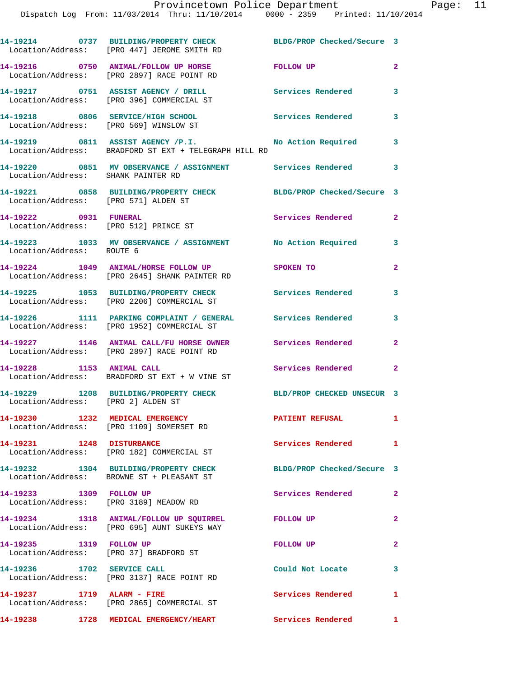|                            | 14-19214 0737 BUILDING/PROPERTY CHECK BLDG/PROP Checked/Secure 3<br>Location/Address: [PRO 447] JEROME SMITH RD |                            |                         |
|----------------------------|-----------------------------------------------------------------------------------------------------------------|----------------------------|-------------------------|
|                            | 14-19216 0750 ANIMAL/FOLLOW UP HORSE<br>Location/Address: [PRO 2897] RACE POINT RD                              | <b>FOLLOW UP</b>           | $\overline{2}$          |
|                            | 14-19217 0751 ASSIST AGENCY / DRILL<br>Location/Address: [PRO 396] COMMERCIAL ST                                | <b>Services Rendered</b>   | 3                       |
|                            | 14-19218 0806 SERVICE/HIGH SCHOOL<br>Location/Address: [PRO 569] WINSLOW ST                                     | Services Rendered 3        |                         |
|                            | 14-19219 0811 ASSIST AGENCY /P.I.<br>Location/Address: BRADFORD ST EXT + TELEGRAPH HILL RD                      | No Action Required         | $\mathbf{3}$            |
|                            | 14-19220 0851 MV OBSERVANCE / ASSIGNMENT Services Rendered 3<br>Location/Address: SHANK PAINTER RD              |                            |                         |
|                            | 14-19221 0858 BUILDING/PROPERTY CHECK<br>Location/Address: [PRO 571] ALDEN ST                                   | BLDG/PROP Checked/Secure 3 |                         |
| 14-19222 0931 FUNERAL      | Location/Address: [PRO 512] PRINCE ST                                                                           | Services Rendered          | $\mathbf{2}$            |
| Location/Address: ROUTE 6  | 14-19223 1033 MV OBSERVANCE / ASSIGNMENT No Action Required 3                                                   |                            |                         |
|                            | 14-19224 1049 ANIMAL/HORSE FOLLOW UP<br>Location/Address: [PRO 2645] SHANK PAINTER RD                           | SPOKEN TO                  | $\mathbf{2}$            |
|                            | 14-19225 1053 BUILDING/PROPERTY CHECK Services Rendered 3<br>Location/Address: [PRO 2206] COMMERCIAL ST         |                            |                         |
|                            | 14-19226 1111 PARKING COMPLAINT / GENERAL Services Rendered<br>Location/Address: [PRO 1952] COMMERCIAL ST       |                            | 3                       |
|                            | 14-19227 1146 ANIMAL CALL/FU HORSE OWNER Services Rendered 2<br>Location/Address: [PRO 2897] RACE POINT RD      |                            |                         |
|                            | 14-19228 1153 ANIMAL CALL<br>Location/Address: BRADFORD ST EXT + W VINE ST                                      | Services Rendered          | $\mathbf{2}$            |
|                            | 14-19229 1208 BUILDING/PROPERTY CHECK BLD/PROP CHECKED UNSECUR 3<br>Location/Address: [PRO 2] ALDEN ST          |                            |                         |
|                            | 14-19230 1232 MEDICAL EMERGENCY<br>Location/Address: [PRO 1109] SOMERSET RD                                     | <b>PATIENT REFUSAL</b>     | $\mathbf{1}$            |
| 14-19231 1248 DISTURBANCE  | Location/Address: [PRO 182] COMMERCIAL ST                                                                       | Services Rendered          | $\mathbf{1}$            |
|                            | 14-19232 1304 BUILDING/PROPERTY CHECK<br>Location/Address: BROWNE ST + PLEASANT ST                              | BLDG/PROP Checked/Secure 3 |                         |
| 14-19233 1309 FOLLOW UP    | Location/Address: [PRO 3189] MEADOW RD                                                                          | Services Rendered          | $\overline{\mathbf{2}}$ |
|                            | 14-19234 1318 ANIMAL/FOLLOW UP SQUIRREL FOLLOW UP<br>Location/Address: [PRO 695] AUNT SUKEYS WAY                |                            | $\mathbf{2}$            |
| 14-19235 1319 FOLLOW UP    | Location/Address: [PRO 37] BRADFORD ST                                                                          | FOLLOW UP                  | $\mathbf{2}$            |
| 14-19236 1702 SERVICE CALL | Location/Address: [PRO 3137] RACE POINT RD                                                                      | Could Not Locate           | 3                       |
| 14-19237 1719 ALARM - FIRE | Location/Address: [PRO 2865] COMMERCIAL ST                                                                      | Services Rendered 1        |                         |
|                            | 14-19238 1728 MEDICAL EMERGENCY/HEART Services Rendered 1                                                       |                            |                         |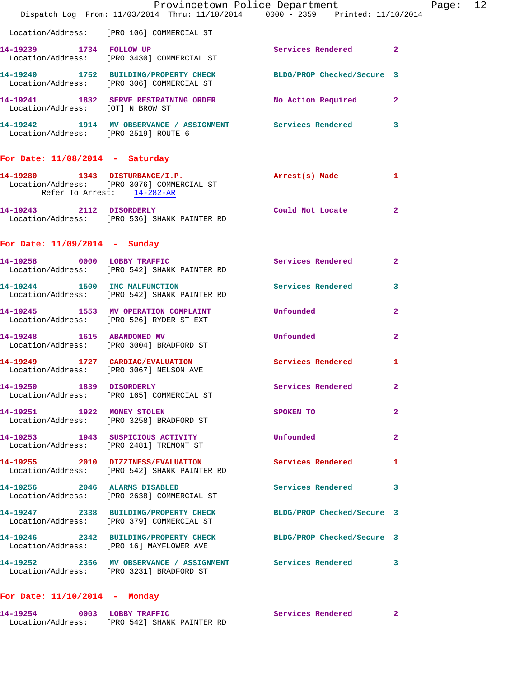|                                      | Provincetown Police Department<br>Dispatch Log From: 11/03/2014 Thru: 11/10/2014 0000 - 2359 Printed: 11/10/2014 |                          |                | Page: 12 |  |
|--------------------------------------|------------------------------------------------------------------------------------------------------------------|--------------------------|----------------|----------|--|
|                                      | Location/Address: [PRO 106] COMMERCIAL ST                                                                        |                          |                |          |  |
|                                      | 14-19239 1734 FOLLOW UP<br>Location/Address: [PRO 3430] COMMERCIAL ST                                            | Services Rendered 2      |                |          |  |
|                                      | 14-19240 1752 BUILDING/PROPERTY CHECK BLDG/PROP Checked/Secure 3<br>Location/Address: [PRO 306] COMMERCIAL ST    |                          |                |          |  |
| Location/Address: [OT] N BROW ST     | 14-19241 1832 SERVE RESTRAINING ORDER No Action Required 2                                                       |                          |                |          |  |
| Location/Address: [PRO 2519] ROUTE 6 | 14-19242 1914 MV OBSERVANCE / ASSIGNMENT Services Rendered 3                                                     |                          |                |          |  |
| For Date: $11/08/2014$ - Saturday    |                                                                                                                  |                          |                |          |  |
| Refer To Arrest: 14-282-AR           | 14-19280 1343 DISTURBANCE/I.P. Arrest(s) Made 1<br>Location/Address: [PRO 3076] COMMERCIAL ST                    |                          |                |          |  |
|                                      | 14-19243 2112 DISORDERLY Could Not Locate 2<br>Location/Address: [PRO 536] SHANK PAINTER RD                      |                          |                |          |  |
| For Date: $11/09/2014$ - Sunday      |                                                                                                                  |                          |                |          |  |
|                                      | 14-19258 0000 LOBBY TRAFFIC<br>Location/Address: [PRO 542] SHANK PAINTER RD                                      | Services Rendered 2      |                |          |  |
|                                      | 14-19244 1500 IMC MALFUNCTION<br>Location/Address: [PRO 542] SHANK PAINTER RD                                    | Services Rendered 3      |                |          |  |
|                                      | 14-19245 1553 MV OPERATION COMPLAINT Unfounded<br>Location/Address: [PRO 526] RYDER ST EXT                       |                          | $\mathbf{2}$   |          |  |
|                                      | 14-19248 1615 ABANDONED MV<br>Location/Address: [PRO 3004] BRADFORD ST                                           | Unfounded                | $\mathbf{2}$   |          |  |
|                                      | 14-19249 1727 CARDIAC/EVALUATION<br>Location/Address: [PRO 3067] NELSON AVE                                      | Services Rendered        | 1.             |          |  |
|                                      | 14-19250 1839 DISORDERLY<br>Location/Address: [PRO 165] COMMERCIAL ST                                            | Services Rendered        | $\overline{2}$ |          |  |
| 14-19251 1922 MONEY STOLEN           | Location/Address: [PRO 3258] BRADFORD ST                                                                         | <b>SPOKEN TO</b>         | $\mathbf{2}$   |          |  |
|                                      | 14-19253 1943 SUSPICIOUS ACTIVITY<br>Location/Address: [PRO 2481] TREMONT ST                                     | Unfounded                | $\mathbf{2}$   |          |  |
|                                      | 14-19255 2010 DIZZINESS/EVALUATION Services Rendered 1<br>Location/Address: [PRO 542] SHANK PAINTER RD           |                          |                |          |  |
|                                      | 14-19256 2046 ALARMS DISABLED<br>Location/Address: [PRO 2638] COMMERCIAL ST                                      | <b>Services Rendered</b> | 3              |          |  |
|                                      | 14-19247 2338 BUILDING/PROPERTY CHECK BLDG/PROP Checked/Secure 3<br>Location/Address: [PRO 379] COMMERCIAL ST    |                          |                |          |  |
|                                      | 14-19246 2342 BUILDING/PROPERTY CHECK BLDG/PROP Checked/Secure 3<br>Location/Address: [PRO 16] MAYFLOWER AVE     |                          |                |          |  |
|                                      | 14-19252 2356 MV OBSERVANCE / ASSIGNMENT Services Rendered 3<br>Location/Address: [PRO 3231] BRADFORD ST         |                          |                |          |  |
|                                      |                                                                                                                  |                          |                |          |  |

## **For Date: 11/10/2014 - Monday**

| 14-19254          | 0003 LOBBY TRAFFIC         | Services Rendered |  |
|-------------------|----------------------------|-------------------|--|
| Location/Address: | [PRO 542] SHANK PAINTER RD |                   |  |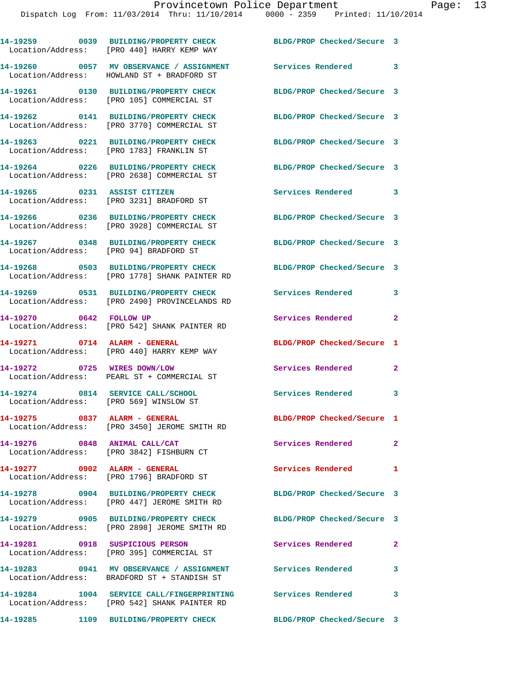|                                                                             | 14-19259 0039 BUILDING/PROPERTY CHECK<br>Location/Address: [PRO 440] HARRY KEMP WAY                         | BLDG/PROP Checked/Secure 3 |                |
|-----------------------------------------------------------------------------|-------------------------------------------------------------------------------------------------------------|----------------------------|----------------|
|                                                                             | 14-19260 0057 MV OBSERVANCE / ASSIGNMENT<br>Location/Address: HOWLAND ST + BRADFORD ST                      | Services Rendered 3        |                |
|                                                                             | 14-19261 0130 BUILDING/PROPERTY CHECK<br>Location/Address: [PRO 105] COMMERCIAL ST                          | BLDG/PROP Checked/Secure 3 |                |
|                                                                             | 14-19262 0141 BUILDING/PROPERTY CHECK<br>Location/Address: [PRO 3770] COMMERCIAL ST                         | BLDG/PROP Checked/Secure 3 |                |
|                                                                             | 14-19263 0221 BUILDING/PROPERTY CHECK<br>Location/Address: [PRO 1783] FRANKLIN ST                           | BLDG/PROP Checked/Secure 3 |                |
|                                                                             | 14-19264 0226 BUILDING/PROPERTY CHECK<br>Location/Address: [PRO 2638] COMMERCIAL ST                         | BLDG/PROP Checked/Secure 3 |                |
|                                                                             | 14-19265 0231 ASSIST CITIZEN<br>Location/Address: [PRO 3231] BRADFORD ST                                    | Services Rendered 3        |                |
|                                                                             | 14-19266 0236 BUILDING/PROPERTY CHECK<br>Location/Address: [PRO 3928] COMMERCIAL ST                         | BLDG/PROP Checked/Secure 3 |                |
| Location/Address: [PRO 94] BRADFORD ST                                      | 14-19267 0348 BUILDING/PROPERTY CHECK                                                                       | BLDG/PROP Checked/Secure 3 |                |
|                                                                             | 14-19268 0503 BUILDING/PROPERTY CHECK<br>Location/Address: [PRO 1778] SHANK PAINTER RD                      | BLDG/PROP Checked/Secure 3 |                |
|                                                                             | 14-19269 0531 BUILDING/PROPERTY CHECK<br>Location/Address: [PRO 2490] PROVINCELANDS RD                      | Services Rendered          | 3              |
| 14-19270 0642 FOLLOW UP                                                     | Location/Address: [PRO 542] SHANK PAINTER RD                                                                | Services Rendered          | $\overline{a}$ |
| 14-19271 0714 ALARM - GENERAL                                               | Location/Address: [PRO 440] HARRY KEMP WAY                                                                  | BLDG/PROP Checked/Secure 1 |                |
| 14-19272 0725 WIRES DOWN/LOW                                                | Location/Address: PEARL ST + COMMERCIAL ST                                                                  | Services Rendered          | $\mathbf{2}$   |
| 14-19274 0814 SERVICE CALL/SCHOOL<br>Location/Address: [PRO 569] WINSLOW ST |                                                                                                             | Services Rendered 3        |                |
| 14-19275                                                                    | 0837 ALARM - GENERAL<br>Location/Address: [PRO 3450] JEROME SMITH RD                                        | BLDG/PROP Checked/Secure 1 |                |
|                                                                             | 14-19276 0848 ANIMAL CALL/CAT<br>Location/Address: [PRO 3842] FISHBURN CT                                   | Services Rendered          | $\mathbf{2}$   |
| 14-19277 0902 ALARM - GENERAL                                               | Location/Address: [PRO 1796] BRADFORD ST                                                                    | Services Rendered          | 1              |
|                                                                             | Location/Address: [PRO 447] JEROME SMITH RD                                                                 | BLDG/PROP Checked/Secure 3 |                |
|                                                                             | 14-19279 0905 BUILDING/PROPERTY CHECK<br>Location/Address: [PRO 2898] JEROME SMITH RD                       | BLDG/PROP Checked/Secure 3 |                |
| 14-19281 0918 SUSPICIOUS PERSON                                             | Location/Address: [PRO 395] COMMERCIAL ST                                                                   | Services Rendered          | $\mathbf{2}$   |
|                                                                             | 14-19283 0941 MV OBSERVANCE / ASSIGNMENT<br>Location/Address: BRADFORD ST + STANDISH ST                     | <b>Services Rendered</b>   | 3              |
|                                                                             | 14-19284 1004 SERVICE CALL/FINGERPRINTING Services Rendered<br>Location/Address: [PRO 542] SHANK PAINTER RD |                            | 3              |

**14-19285 1109 BUILDING/PROPERTY CHECK BLDG/PROP Checked/Secure 3**